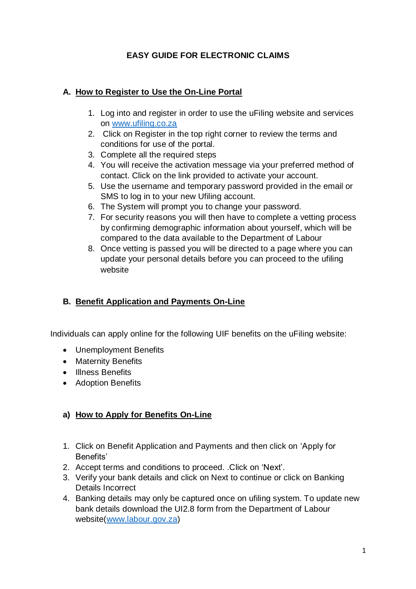### **EASY GUIDE FOR ELECTRONIC CLAIMS**

#### **A. How to Register to Use the On-Line Portal**

- 1. Log into and register in order to use the uFiling website and services on [www.ufiling.co.za](http://www.ufiling.co.za/)
- 2. Click on Register in the top right corner to review the terms and conditions for use of the portal.
- 3. Complete all the required steps
- 4. You will receive the activation message via your preferred method of contact. Click on the link provided to activate your account.
- 5. Use the username and temporary password provided in the email or SMS to log in to your new Ufiling account.
- 6. The System will prompt you to change your password.
- 7. For security reasons you will then have to complete a vetting process by confirming demographic information about yourself, which will be compared to the data available to the Department of Labour
- 8. Once vetting is passed you will be directed to a page where you can update your personal details before you can proceed to the ufiling website

## **B. Benefit Application and Payments On-Line**

Individuals can apply online for the following UIF benefits on the uFiling website:

- Unemployment Benefits
- Maternity Benefits
- Illness Benefits
- Adoption Benefits

## **a) How to Apply for Benefits On-Line**

- 1. Click on Benefit Application and Payments and then click on 'Apply for Benefits'
- 2. Accept terms and conditions to proceed. .Click on 'Next'.
- 3. Verify your bank details and click on Next to continue or click on Banking Details Incorrect
- 4. Banking details may only be captured once on ufiling system. To update new bank details download the UI2.8 form from the Department of Labour website[\(www.labour.gov.za\)](http://www.labour.gov.za/)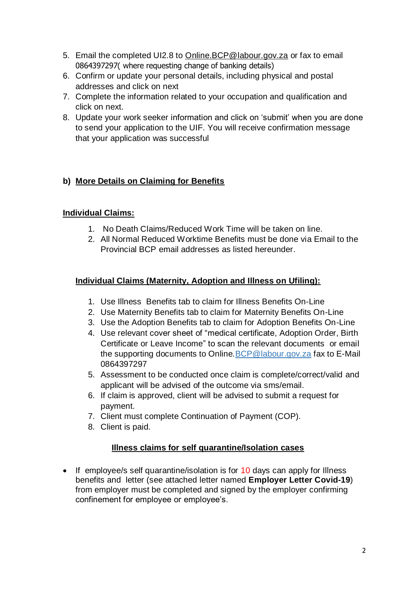- 5. Email the completed UI2.8 to [Online.BCP@labour.gov.za](mailto:Online.BCP@labour.gov.za) or fax to email 0864397297( where requesting change of banking details)
- 6. Confirm or update your personal details, including physical and postal addresses and click on next
- 7. Complete the information related to your occupation and qualification and click on next.
- 8. Update your work seeker information and click on 'submit' when you are done to send your application to the UIF. You will receive confirmation message that your application was successful

## **b) More Details on Claiming for Benefits**

#### **Individual Claims:**

- 1. No Death Claims/Reduced Work Time will be taken on line.
- 2. All Normal Reduced Worktime Benefits must be done via Email to the Provincial BCP email addresses as listed hereunder.

## **Individual Claims (Maternity, Adoption and Illness on Ufiling):**

- 1. Use Illness Benefits tab to claim for Illness Benefits On-Line
- 2. Use Maternity Benefits tab to claim for Maternity Benefits On-Line
- 3. Use the Adoption Benefits tab to claim for Adoption Benefits On-Line
- 4. Use relevant cover sheet of "medical certificate, Adoption Order, Birth Certificate or Leave Income" to scan the relevant documents or email the supporting documents to Online.BCP@labour.gov.za fax to E-Mail 0864397297
- 5. Assessment to be conducted once claim is complete/correct/valid and applicant will be advised of the outcome via sms/email.
- 6. If claim is approved, client will be advised to submit a request for payment.
- 7. Client must complete Continuation of Payment (COP).
- 8. Client is paid.

## **Illness claims for self quarantine/Isolation cases**

• If employee/s self quarantine/isolation is for 10 days can apply for Illness benefits and letter (see attached letter named **Employer Letter Covid-19**) from employer must be completed and signed by the employer confirming confinement for employee or employee's.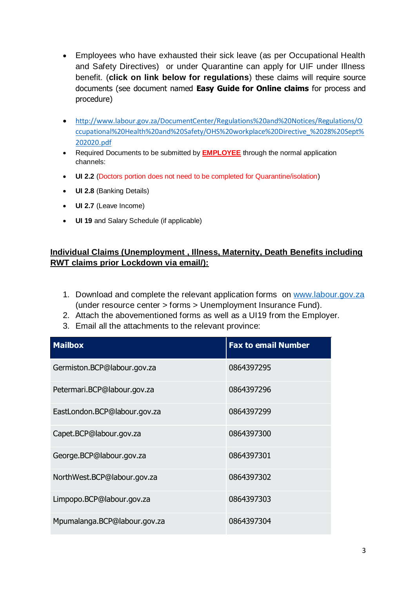- Employees who have exhausted their sick leave (as per Occupational Health and Safety Directives) or under Quarantine can apply for UIF under Illness benefit. (**click on link below for regulations**) these claims will require source documents (see document named **Easy Guide for Online claims** for process and procedure)
- [http://www.labour.gov.za/DocumentCenter/Regulations%20and%20Notices/Regulations/O](http://www.labour.gov.za/DocumentCenter/Regulations%20and%20Notices/Regulations/Occupational%20Health%20and%20Safety/OHS%20workplace%20Directive_%2028%20Sept%202020.pdf) [ccupational%20Health%20and%20Safety/OHS%20workplace%20Directive\\_%2028%20Sept%](http://www.labour.gov.za/DocumentCenter/Regulations%20and%20Notices/Regulations/Occupational%20Health%20and%20Safety/OHS%20workplace%20Directive_%2028%20Sept%202020.pdf) [202020.pdf](http://www.labour.gov.za/DocumentCenter/Regulations%20and%20Notices/Regulations/Occupational%20Health%20and%20Safety/OHS%20workplace%20Directive_%2028%20Sept%202020.pdf)
- Required Documents to be submitted by **EMPLOYEE** through the normal application channels:
- **UI 2.2** (Doctors portion does not need to be completed for Quarantine/isolation)
- **UI 2.8** (Banking Details)
- **UI 2.7** (Leave Income)
- **UI 19** and Salary Schedule (if applicable)

#### **Individual Claims (Unemployment , Illness, Maternity, Death Benefits including RWT claims prior Lockdown via email/):**

- 1. Download and complete the relevant application forms on [www.labour.gov.za](http://www.labour.gov.za/) (under resource center > forms > Unemployment Insurance Fund).
- 2. Attach the abovementioned forms as well as a UI19 from the Employer.
- 3. Email all the attachments to the relevant province:

| <b>Mailbox</b>               | <b>Fax to email Number</b> |
|------------------------------|----------------------------|
| Germiston.BCP@labour.gov.za  | 0864397295                 |
| Petermari.BCP@labour.gov.za  | 0864397296                 |
| EastLondon.BCP@labour.gov.za | 0864397299                 |
| Capet.BCP@labour.gov.za      | 0864397300                 |
| George.BCP@labour.gov.za     | 0864397301                 |
| NorthWest.BCP@labour.gov.za  | 0864397302                 |
| Limpopo.BCP@labour.gov.za    | 0864397303                 |
| Mpumalanga.BCP@labour.gov.za | 0864397304                 |